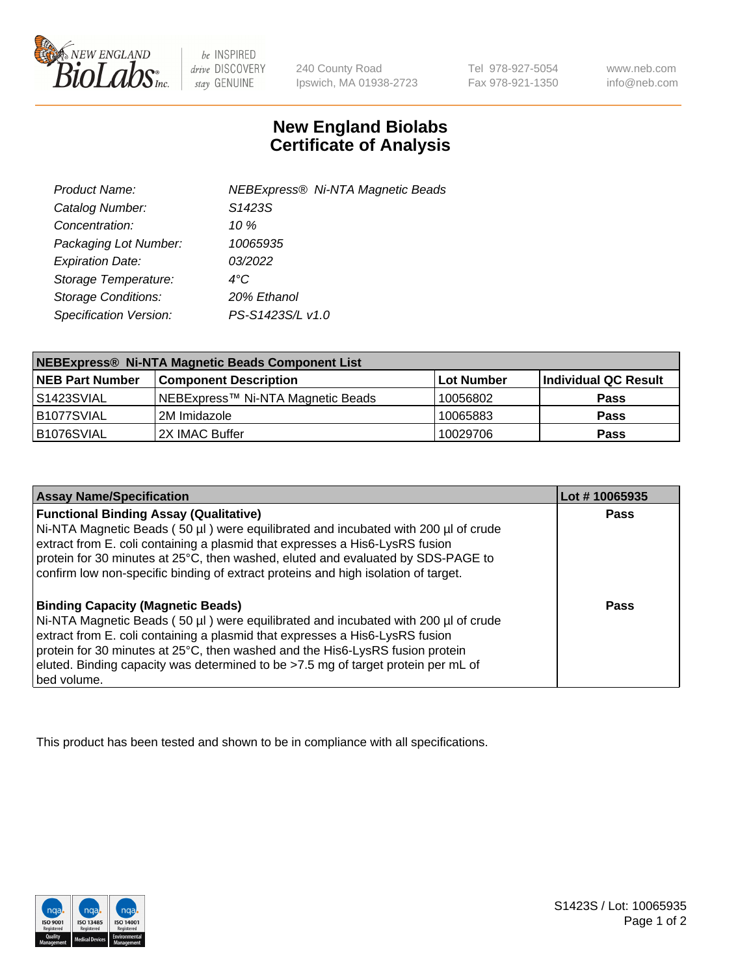

be INSPIRED drive DISCOVERY stay GENUINE

240 County Road Ipswich, MA 01938-2723 Tel 978-927-5054 Fax 978-921-1350

www.neb.com info@neb.com

## **New England Biolabs Certificate of Analysis**

| NEBExpress® Ni-NTA Magnetic Beads |
|-----------------------------------|
|                                   |
|                                   |
|                                   |
|                                   |
|                                   |
|                                   |
|                                   |
|                                   |

| NEBExpress® Ni-NTA Magnetic Beads Component List |                                   |            |                      |  |
|--------------------------------------------------|-----------------------------------|------------|----------------------|--|
| <b>NEB Part Number</b>                           | <b>Component Description</b>      | Lot Number | Individual QC Result |  |
| l S1423SVIAL                                     | NEBExpress™ Ni-NTA Magnetic Beads | 10056802   | <b>Pass</b>          |  |
| B1077SVIAL                                       | 2M Imidazole                      | 10065883   | <b>Pass</b>          |  |
| B1076SVIAL                                       | I2X IMAC Buffer                   | 10029706   | <b>Pass</b>          |  |

| <b>Assay Name/Specification</b>                                                                                                                                                                                                                                                                                                                                                                     | Lot #10065935 |
|-----------------------------------------------------------------------------------------------------------------------------------------------------------------------------------------------------------------------------------------------------------------------------------------------------------------------------------------------------------------------------------------------------|---------------|
| <b>Functional Binding Assay (Qualitative)</b><br>Ni-NTA Magnetic Beads (50 µl) were equilibrated and incubated with 200 µl of crude<br>extract from E. coli containing a plasmid that expresses a His6-LysRS fusion<br>protein for 30 minutes at 25°C, then washed, eluted and evaluated by SDS-PAGE to<br>confirm low non-specific binding of extract proteins and high isolation of target.       | <b>Pass</b>   |
| <b>Binding Capacity (Magnetic Beads)</b><br>Ni-NTA Magnetic Beads (50 µl) were equilibrated and incubated with 200 µl of crude<br>extract from E. coli containing a plasmid that expresses a His6-LysRS fusion<br>protein for 30 minutes at 25°C, then washed and the His6-LysRS fusion protein<br>eluted. Binding capacity was determined to be >7.5 mg of target protein per mL of<br>bed volume. | Pass          |

This product has been tested and shown to be in compliance with all specifications.